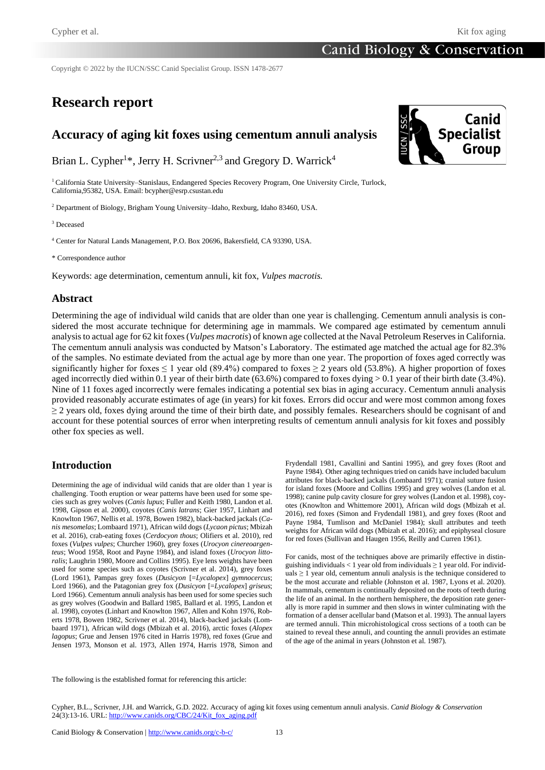Copyright © 2022 by the IUCN/SSC Canid Specialist Group. ISSN 1478-2677

# **Research report**

# **Accuracy of aging kit foxes using cementum annuli analysis**

Brian L. Cypher<sup>1\*</sup>, Jerry H. Scrivner<sup>2,3</sup> and Gregory D. Warrick<sup>4</sup>

<sup>1</sup> California State University–Stanislaus, Endangered Species Recovery Program, One University Circle, Turlock, California,95382, USA. Email: bcypher@esrp.csustan.edu

<sup>2</sup> Department of Biology, Brigham Young University–Idaho, Rexburg, Idaho 83460, USA.

<sup>3</sup> Deceased

<sup>4</sup> Center for Natural Lands Management, P.O. Box 20696, Bakersfield, CA 93390, USA.

\* Correspondence author

Keywords: age determination, cementum annuli, kit fox, *Vulpes macrotis.*

#### **Abstract**

Determining the age of individual wild canids that are older than one year is challenging. Cementum annuli analysis is considered the most accurate technique for determining age in mammals. We compared age estimated by cementum annuli analysis to actual age for 62 kit foxes (*Vulpes macrotis*) of known age collected at the Naval Petroleum Reserves in California. The cementum annuli analysis was conducted by Matson's Laboratory. The estimated age matched the actual age for 82.3% of the samples. No estimate deviated from the actual age by more than one year. The proportion of foxes aged correctly was significantly higher for foxes  $\leq 1$  year old (89.4%) compared to foxes  $\geq 2$  years old (53.8%). A higher proportion of foxes aged incorrectly died within 0.1 year of their birth date (63.6%) compared to foxes dying  $> 0.1$  year of their birth date (3.4%). Nine of 11 foxes aged incorrectly were females indicating a potential sex bias in aging accuracy. Cementum annuli analysis provided reasonably accurate estimates of age (in years) for kit foxes. Errors did occur and were most common among foxes  $\geq$  2 years old, foxes dying around the time of their birth date, and possibly females. Researchers should be cognisant of and account for these potential sources of error when interpreting results of cementum annuli analysis for kit foxes and possibly other fox species as well.

## **Introduction**

Determining the age of individual wild canids that are older than 1 year is challenging. Tooth eruption or wear patterns have been used for some species such as grey wolves (*Canis lupus*; Fuller and Keith 1980, Landon et al. 1998, Gipson et al. 2000), coyotes (*Canis latrans*; Gier 1957, Linhart and Knowlton 1967, Nellis et al. 1978, Bowen 1982), black-backed jackals (*Canis mesomelas*; Lombaard 1971), African wild dogs (*Lycaon pictus*; Mbizah et al. 2016), crab-eating foxes (*Cerdocyon thous*; Olifiers et al. 2010), red foxes (*Vulpes vulpes*; Churcher 1960), grey foxes (*Urocyon cinereoargenteus*; Wood 1958, Root and Payne 1984), and island foxes (*Urocyon littoralis*; Laughrin 1980, Moore and Collins 1995). Eye lens weights have been used for some species such as coyotes (Scrivner et al. 2014), grey foxes (Lord 1961), Pampas grey foxes (*Dusicyon* [=*Lycalopex*] *gymnocercus*; Lord 1966), and the Patagonian grey fox (*Dusicyon* [=*Lycalopex*] *griseus*; Lord 1966). Cementum annuli analysis has been used for some species such as grey wolves (Goodwin and Ballard 1985, Ballard et al. 1995, Landon et al. 1998), coyotes (Linhart and Knowlton 1967, Allen and Kohn 1976, Roberts 1978, Bowen 1982, Scrivner et al. 2014), black-backed jackals (Lombaard 1971), African wild dogs (Mbizah et al. 2016), arctic foxes (*Alopex lagopus*; Grue and Jensen 1976 cited in Harris 1978), red foxes (Grue and Jensen 1973, Monson et al. 1973, Allen 1974, Harris 1978, Simon and

Frydendall 1981, Cavallini and Santini 1995), and grey foxes (Root and Payne 1984). Other aging techniques tried on canids have included baculum attributes for black-backed jackals (Lombaard 1971); cranial suture fusion for island foxes (Moore and Collins 1995) and grey wolves (Landon et al. 1998); canine pulp cavity closure for grey wolves (Landon et al. 1998), coyotes (Knowlton and Whittemore 2001), African wild dogs (Mbizah et al. 2016), red foxes (Simon and Frydendall 1981), and grey foxes (Root and Payne 1984, Tumlison and McDaniel 1984); skull attributes and teeth weights for African wild dogs (Mbizah et al. 2016); and epiphyseal closure for red foxes (Sullivan and Haugen 1956, Reilly and Curren 1961).

For canids, most of the techniques above are primarily effective in distinguishing individuals  $< 1$  year old from individuals  $\geq 1$  year old. For individ $uals \geq 1$  year old, cementum annuli analysis is the technique considered to be the most accurate and reliable (Johnston et al. 1987, Lyons et al. 2020). In mammals, cementum is continually deposited on the roots of teeth during the life of an animal. In the northern hemisphere, the deposition rate generally is more rapid in summer and then slows in winter culminating with the formation of a denser acellular band (Matson et al. 1993). The annual layers are termed annuli. Thin microhistological cross sections of a tooth can be stained to reveal these annuli, and counting the annuli provides an estimate of the age of the animal in years (Johnston et al. 1987).

The following is the established format for referencing this article:

Cypher, B.L., Scrivner, J.H. and Warrick, G.D. 2022. Accuracy of aging kit foxes using cementum annuli analysis. *Canid Biology & Conservation* 24(3):13-16. URL: [http://www.canids.org/CBC/24/Kit\\_fox\\_aging.pdf](http://www.canids.org/CBC/24/Kit_fox_aging.pdf)

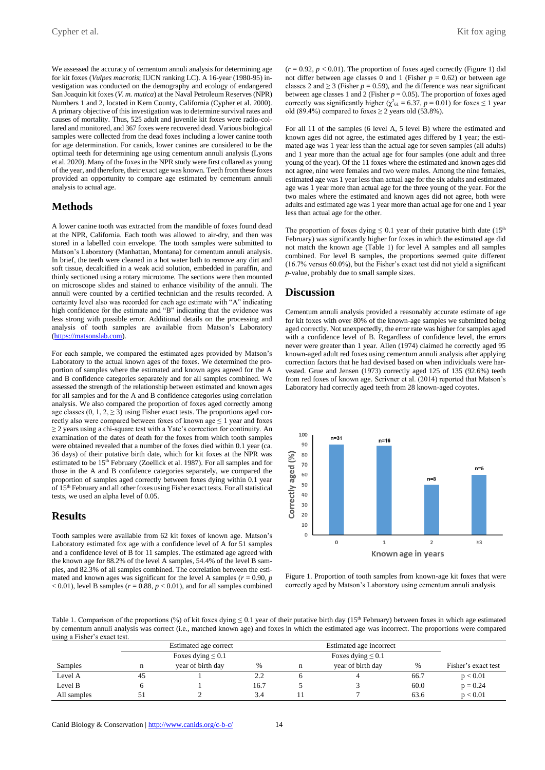Cypher et al. Kit fox aging the state of the state of the state of the state of the state of the state of the state of the state of the state of the state of the state of the state of the state of the state of the state of

We assessed the accuracy of cementum annuli analysis for determining age for kit foxes (*Vulpes macrotis*; IUCN ranking LC). A 16-year (1980-95) investigation was conducted on the demography and ecology of endangered San Joaquin kit foxes (*V. m. mutica*) at the Naval Petroleum Reserves (NPR) Numbers 1 and 2, located in Kern County, California (Cypher et al. 2000). A primary objective of this investigation was to determine survival rates and causes of mortality. Thus, 525 adult and juvenile kit foxes were radio-collared and monitored, and 367 foxes were recovered dead. Various biological samples were collected from the dead foxes including a lower canine tooth for age determination. For canids, lower canines are considered to be the optimal teeth for determining age using cementum annuli analysis (Lyons et al. 2020). Many of the foxes in the NPR study were first collared as young of the year, and therefore, their exact age was known. Teeth from these foxes provided an opportunity to compare age estimated by cementum annuli analysis to actual age.

### **Methods**

A lower canine tooth was extracted from the mandible of foxes found dead at the NPR, California. Each tooth was allowed to air-dry, and then was stored in a labelled coin envelope. The tooth samples were submitted to Matson's Laboratory (Manhattan, Montana) for cementum annuli analysis. In brief, the teeth were cleaned in a hot water bath to remove any dirt and soft tissue, decalcified in a weak acid solution, embedded in paraffin, and thinly sectioned using a rotary microtome. The sections were then mounted on microscope slides and stained to enhance visibility of the annuli. The annuli were counted by a certified technician and the results recorded. A certainty level also was recorded for each age estimate with "A" indicating high confidence for the estimate and "B" indicating that the evidence was less strong with possible error. Additional details on the processing and analysis of tooth samples are available from Matson's Laboratory [\(https://matsonslab.com\)](https://matsonslab.com/).

For each sample, we compared the estimated ages provided by Matson's Laboratory to the actual known ages of the foxes. We determined the proportion of samples where the estimated and known ages agreed for the A and B confidence categories separately and for all samples combined. We assessed the strength of the relationship between estimated and known ages for all samples and for the A and B confidence categories using correlation analysis. We also compared the proportion of foxes aged correctly among age classes  $(0, 1, 2, \ge 3)$  using Fisher exact tests. The proportions aged correctly also were compared between foxes of known age  $\leq 1$  year and foxes ≥ 2 years using a chi-square test with a Yate's correction for continuity. An examination of the dates of death for the foxes from which tooth samples were obtained revealed that a number of the foxes died within 0.1 year (ca. 36 days) of their putative birth date, which for kit foxes at the NPR was estimated to be  $15<sup>th</sup>$  February (Zoellick et al. 1987). For all samples and for those in the A and B confidence categories separately, we compared the proportion of samples aged correctly between foxes dying within 0.1 year of 15<sup>th</sup> February and all other foxes using Fisher exact tests. For all statistical tests, we used an alpha level of 0.05.

#### **Results**

Tooth samples were available from 62 kit foxes of known age. Matson's Laboratory estimated fox age with a confidence level of A for 51 samples and a confidence level of B for 11 samples. The estimated age agreed with the known age for 88.2% of the level A samples, 54.4% of the level B samples, and 82.3% of all samples combined. The correlation between the estimated and known ages was significant for the level A samples ( $r = 0.90$ ,  $p$ )  $<$  0.01), level B samples ( $r$  = 0.88,  $p$  < 0.01), and for all samples combined

 $(r = 0.92, p < 0.01)$ . The proportion of foxes aged correctly (Figure 1) did not differ between age classes 0 and 1 (Fisher  $p = 0.62$ ) or between age classes 2 and  $\geq$  3 (Fisher  $p = 0.59$ ), and the difference was near significant between age classes 1 and 2 (Fisher  $p = 0.05$ ). The proportion of foxes aged correctly was significantly higher ( $\chi^2_{\text{61}} = 6.37$ ,  $p = 0.01$ ) for foxes  $\leq 1$  year old (89.4%) compared to foxes  $\geq$  2 years old (53.8%).

For all 11 of the samples (6 level A, 5 level B) where the estimated and known ages did not agree, the estimated ages differed by 1 year; the estimated age was 1 year less than the actual age for seven samples (all adults) and 1 year more than the actual age for four samples (one adult and three young of the year). Of the 11 foxes where the estimated and known ages did not agree, nine were females and two were males. Among the nine females, estimated age was 1 year less than actual age for the six adults and estimated age was 1 year more than actual age for the three young of the year. For the two males where the estimated and known ages did not agree, both were adults and estimated age was 1 year more than actual age for one and 1 year less than actual age for the other.

The proportion of foxes dying  $\leq 0.1$  year of their putative birth date (15<sup>th</sup>) February) was significantly higher for foxes in which the estimated age did not match the known age (Table 1) for level A samples and all samples combined. For level B samples, the proportions seemed quite different (16.7% versus 60.0%), but the Fisher's exact test did not yield a significant *p*-value, probably due to small sample sizes.

#### **Discussion**

Cementum annuli analysis provided a reasonably accurate estimate of age for kit foxes with over 80% of the known-age samples we submitted being aged correctly. Not unexpectedly, the error rate was higher for samples aged with a confidence level of B. Regardless of confidence level, the errors never were greater than 1 year. Allen (1974) claimed he correctly aged 95 known-aged adult red foxes using cementum annuli analysis after applying correction factors that he had devised based on when individuals were harvested. Grue and Jensen (1973) correctly aged 125 of 135 (92.6%) teeth from red foxes of known age. Scrivner et al. (2014) reported that Matson's Laboratory had correctly aged teeth from 28 known-aged coyotes.



Figure 1. Proportion of tooth samples from known-age kit foxes that were correctly aged by Matson's Laboratory using cementum annuli analysis.

Table 1. Comparison of the proportions (%) of kit foxes dying  $\leq 0.1$  year of their putative birth day (15<sup>th</sup> February) between foxes in which age estimated by cementum annuli analysis was correct (i.e., matched known age) and foxes in which the estimated age was incorrect. The proportions were compared using a Fisher's exact test.

|             |    | Estimated age correct<br>Foxes dying $\leq 0.1$ |      |  | Estimated age incorrect |      |                     |
|-------------|----|-------------------------------------------------|------|--|-------------------------|------|---------------------|
|             |    |                                                 |      |  | Foxes dying $\leq 0.1$  |      |                     |
| Samples     | n  | year of birth day                               | %    |  | year of birth day       | %    | Fisher's exact test |
| Level A     | 45 |                                                 | 2.2  |  |                         | 66.7 | p < 0.01            |
| Level B     |    |                                                 | 16.7 |  |                         | 60.0 | $p = 0.24$          |
| All samples |    |                                                 | 3.4  |  |                         | 63.6 | p < 0.01            |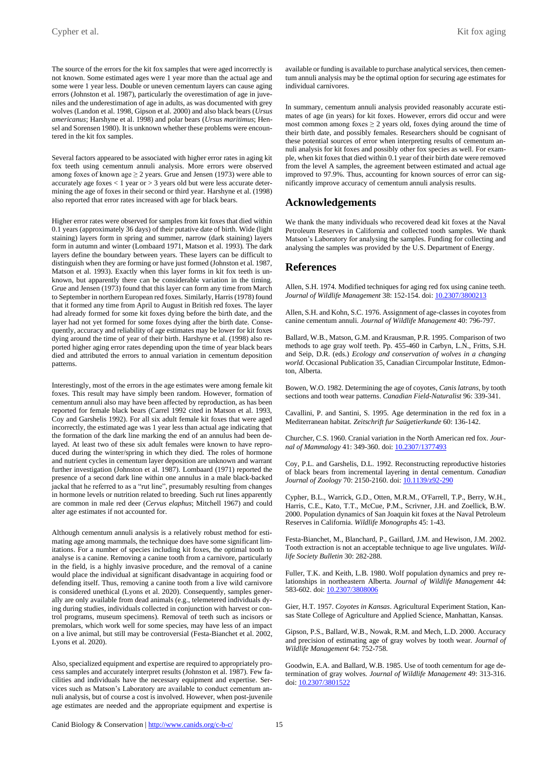The source of the errors for the kit fox samples that were aged incorrectly is not known. Some estimated ages were 1 year more than the actual age and some were 1 year less. Double or uneven cementum layers can cause aging errors (Johnston et al. 1987), particularly the overestimation of age in juveniles and the underestimation of age in adults, as was documented with grey wolves (Landon et al. 1998, Gipson et al. 2000) and also black bears (*Ursus americanus*; Harshyne et al. 1998) and polar bears (*Ursus maritimus*; Hensel and Sorensen 1980). It is unknown whether these problems were encountered in the kit fox samples.

Several factors appeared to be associated with higher error rates in aging kit fox teeth using cementum annuli analysis. More errors were observed among foxes of known age  $\geq 2$  years. Grue and Jensen (1973) were able to accurately age foxes  $< 1$  year or  $> 3$  years old but were less accurate determining the age of foxes in their second or third year. Harshyne et al. (1998) also reported that error rates increased with age for black bears.

Higher error rates were observed for samples from kit foxes that died within 0.1 years (approximately 36 days) of their putative date of birth. Wide (light staining) layers form in spring and summer, narrow (dark staining) layers form in autumn and winter (Lombaard 1971, Matson et al. 1993). The dark layers define the boundary between years. These layers can be difficult to distinguish when they are forming or have just formed (Johnston et al. 1987, Matson et al. 1993). Exactly when this layer forms in kit fox teeth is unknown, but apparently there can be considerable variation in the timing. Grue and Jensen (1973) found that this layer can form any time from March to September in northern European red foxes. Similarly, Harris (1978) found that it formed any time from April to August in British red foxes. The layer had already formed for some kit foxes dying before the birth date, and the layer had not yet formed for some foxes dying after the birth date. Consequently, accuracy and reliability of age estimates may be lower for kit foxes dying around the time of year of their birth. Harshyne et al. (1998) also reported higher aging error rates depending upon the time of year black bears died and attributed the errors to annual variation in cementum deposition patterns.

Interestingly, most of the errors in the age estimates were among female kit foxes. This result may have simply been random. However, formation of cementum annuli also may have been affected by reproduction, as has been reported for female black bears (Carrel 1992 cited in Matson et al. 1993, Coy and Garshelis 1992). For all six adult female kit foxes that were aged incorrectly, the estimated age was 1 year less than actual age indicating that the formation of the dark line marking the end of an annulus had been delayed. At least two of these six adult females were known to have reproduced during the winter/spring in which they died. The roles of hormone and nutrient cycles in cementum layer deposition are unknown and warrant further investigation (Johnston et al. 1987). Lombaard (1971) reported the presence of a second dark line within one annulus in a male black-backed jackal that he referred to as a "rut line", presumably resulting from changes in hormone levels or nutrition related to breeding. Such rut lines apparently are common in male red deer (*Cervus elaphus*; Mitchell 1967) and could alter age estimates if not accounted for.

Although cementum annuli analysis is a relatively robust method for estimating age among mammals, the technique does have some significant limitations. For a number of species including kit foxes, the optimal tooth to analyse is a canine. Removing a canine tooth from a carnivore, particularly in the field, is a highly invasive procedure, and the removal of a canine would place the individual at significant disadvantage in acquiring food or defending itself. Thus, removing a canine tooth from a live wild carnivore is considered unethical (Lyons et al. 2020). Consequently, samples generally are only available from dead animals (e.g., telemetered individuals dying during studies, individuals collected in conjunction with harvest or control programs, museum specimens). Removal of teeth such as incisors or premolars, which work well for some species, may have less of an impact on a live animal, but still may be controversial (Festa-Bianchet et al. 2002, Lyons et al. 2020).

Also, specialized equipment and expertise are required to appropriately process samples and accurately interpret results (Johnston et al. 1987). Few facilities and individuals have the necessary equipment and expertise. Services such as Matson's Laboratory are available to conduct cementum annuli analysis, but of course a cost is involved. However, when post-juvenile age estimates are needed and the appropriate equipment and expertise is available or funding is available to purchase analytical services, then cementum annuli analysis may be the optimal option for securing age estimates for individual carnivores.

In summary, cementum annuli analysis provided reasonably accurate estimates of age (in years) for kit foxes. However, errors did occur and were most common among foxes  $\geq 2$  years old, foxes dying around the time of their birth date, and possibly females. Researchers should be cognisant of these potential sources of error when interpreting results of cementum annuli analysis for kit foxes and possibly other fox species as well. For example, when kit foxes that died within 0.1 year of their birth date were removed from the level A samples, the agreement between estimated and actual age improved to 97.9%. Thus, accounting for known sources of error can significantly improve accuracy of cementum annuli analysis results.

#### **Acknowledgements**

We thank the many individuals who recovered dead kit foxes at the Naval Petroleum Reserves in California and collected tooth samples. We thank Matson's Laboratory for analysing the samples. Funding for collecting and analysing the samples was provided by the U.S. Department of Energy.

#### **References**

Allen, S.H. 1974. Modified techniques for aging red fox using canine teeth. *Journal of Wildlife Management* 38: 152-154. doi[: 10.2307/3800213](https://doi.org/10.2307/3800213)

Allen, S.H. and Kohn, S.C. 1976. Assignment of age-classes in coyotes from canine cementum annuli. *Journal of Wildlife Management* 40: 796-797.

Ballard, W.B., Matson, G.M. and Krausman, P.R. 1995. Comparison of two methods to age gray wolf teeth. Pp. 455-460 in Carbyn, L.N., Fritts, S.H. and Seip, D.R. (eds.) *Ecology and conservation of wolves in a changing world*. Occasional Publication 35, Canadian Circumpolar Institute, Edmonton, Alberta.

Bowen, W.O. 1982. Determining the age of coyotes, *Canis latrans*, by tooth sections and tooth wear patterns. *Canadian Field-Naturalist* 96: 339-341.

Cavallini, P. and Santini, S. 1995. Age determination in the red fox in a Mediterranean habitat. *Zeitschrift fur Saügetierkunde* 60: 136-142.

Churcher, C.S. 1960. Cranial variation in the North American red fox. *Journal of Mammalogy* 41: 349-360. doi[: 10.2307/1377493](https://doi.org/10.2307/1377493)

Coy, P.L. and Garshelis, D.L. 1992. Reconstructing reproductive histories of black bears from incremental layering in dental cementum. *Canadian Journal of Zoology* 70: 2150-2160. doi:  $\frac{10.1139}{292-290}$ 

Cypher, B.L., Warrick, G.D., Otten, M.R.M., O'Farrell, T.P., Berry, W.H., Harris, C.E., Kato, T.T., McCue, P.M., Scrivner, J.H. and Zoellick, B.W. 2000. Population dynamics of San Joaquin kit foxes at the Naval Petroleum Reserves in California. *Wildlife Monographs* 45: 1-43.

Festa-Bianchet, M., Blanchard, P., Gaillard, J.M. and Hewison, J.M. 2002. Tooth extraction is not an acceptable technique to age live ungulates. *Wildlife Society Bulletin* 30: 282-288.

Fuller, T.K. and Keith, L.B. 1980. Wolf population dynamics and prey relationships in northeastern Alberta. *Journal of Wildlife Management* 44: 583-602. doi: [10.2307/3808006](https://doi.org/10.2307/3808006)

Gier, H.T. 1957. *Coyotes in Kansas*. Agricultural Experiment Station, Kansas State College of Agriculture and Applied Science, Manhattan, Kansas.

Gipson, P.S., Ballard, W.B., Nowak, R.M. and Mech, L.D. 2000. Accuracy and precision of estimating age of gray wolves by tooth wear. *Journal of Wildlife Management* 64: 752-758.

Goodwin, E.A. and Ballard, W.B. 1985. Use of tooth cementum for age determination of gray wolves. *Journal of Wildlife Management* 49: 313-316. doi[: 10.2307/3801522](https://doi.org/10.2307/3801522)